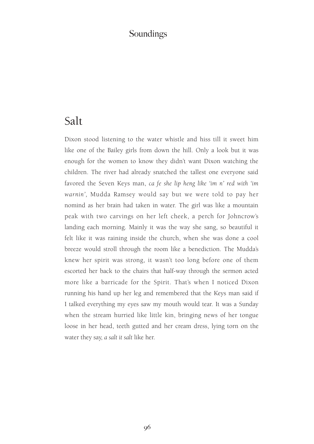### Soundings

## Salt

Dixon stood listening to the water whistle and hiss till it sweet him like one of the Bailey girls from down the hill. Only a look but it was enough for the women to know they didn't want Dixon watching the children. The river had already snatched the tallest one everyone said favored the Seven Keys man, *ca fe she lip heng like 'im n' red with 'im warnin',* Mudda Ramsey would say but we were told to pay her nomind as her brain had taken in water. The girl was like a mountain peak with two carvings on her left cheek, a perch for Johncrow's landing each morning. Mainly it was the way she sang, so beautiful it felt like it was raining inside the church, when she was done a cool breeze would stroll through the room like a benediction. The Mudda's knew her spirit was strong, it wasn't too long before one of them escorted her back to the chairs that half-way through the sermon acted more like a barricade for the Spirit. That's when I noticed Dixon running his hand up her leg and remembered that the Keys man said if I talked everything my eyes saw my mouth would tear. It was a Sunday when the stream hurried like little kin, bringing news of her tongue loose in her head, teeth gutted and her cream dress, lying torn on the water they say, *a salt it salt* like her.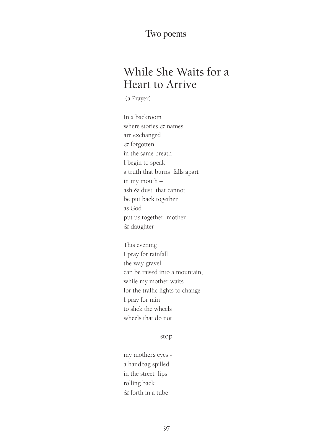#### Two poems

# While She Waits for a Heart to Arrive

(a Prayer)

In a backroom where stories & names are exchanged & forgotten in the same breath I begin to speak a truth that burns falls apart in my mouth – ash & dust that cannot be put back together as God put us together mother & daughter

This evening I pray for rainfall the way gravel can be raised into a mountain, while my mother waits for the traffic lights to change I pray for rain to slick the wheels wheels that do not

stop

my mother's eyes a handbag spilled in the street lips rolling back & forth in a tube